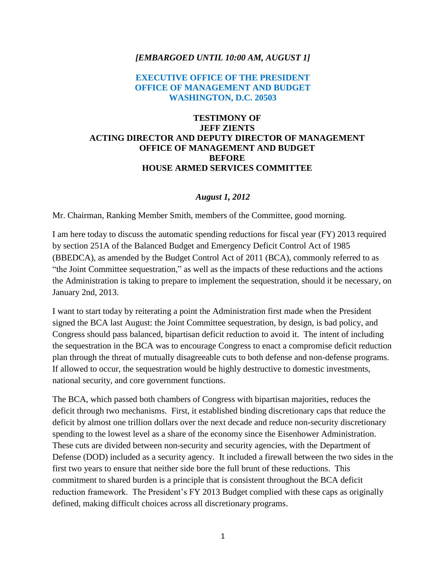## *[EMBARGOED UNTIL 10:00 AM, AUGUST 1]*

## **EXECUTIVE OFFICE OF THE PRESIDENT OFFICE OF MANAGEMENT AND BUDGET WASHINGTON, D.C. 20503**

## **TESTIMONY OF JEFF ZIENTS ACTING DIRECTOR AND DEPUTY DIRECTOR OF MANAGEMENT OFFICE OF MANAGEMENT AND BUDGET BEFORE HOUSE ARMED SERVICES COMMITTEE**

## *August 1, 2012*

Mr. Chairman, Ranking Member Smith, members of the Committee, good morning.

I am here today to discuss the automatic spending reductions for fiscal year (FY) 2013 required by section 251A of the Balanced Budget and Emergency Deficit Control Act of 1985 (BBEDCA), as amended by the Budget Control Act of 2011 (BCA), commonly referred to as "the Joint Committee sequestration," as well as the impacts of these reductions and the actions the Administration is taking to prepare to implement the sequestration, should it be necessary, on January 2nd, 2013.

I want to start today by reiterating a point the Administration first made when the President signed the BCA last August: the Joint Committee sequestration, by design, is bad policy, and Congress should pass balanced, bipartisan deficit reduction to avoid it. The intent of including the sequestration in the BCA was to encourage Congress to enact a compromise deficit reduction plan through the threat of mutually disagreeable cuts to both defense and non-defense programs. If allowed to occur, the sequestration would be highly destructive to domestic investments, national security, and core government functions.

The BCA, which passed both chambers of Congress with bipartisan majorities, reduces the deficit through two mechanisms. First, it established binding discretionary caps that reduce the deficit by almost one trillion dollars over the next decade and reduce non-security discretionary spending to the lowest level as a share of the economy since the Eisenhower Administration. These cuts are divided between non-security and security agencies, with the Department of Defense (DOD) included as a security agency. It included a firewall between the two sides in the first two years to ensure that neither side bore the full brunt of these reductions. This commitment to shared burden is a principle that is consistent throughout the BCA deficit reduction framework. The President's FY 2013 Budget complied with these caps as originally defined, making difficult choices across all discretionary programs.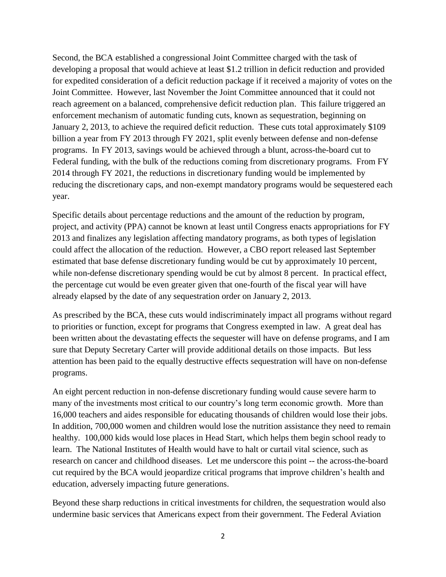Second, the BCA established a congressional Joint Committee charged with the task of developing a proposal that would achieve at least \$1.2 trillion in deficit reduction and provided for expedited consideration of a deficit reduction package if it received a majority of votes on the Joint Committee. However, last November the Joint Committee announced that it could not reach agreement on a balanced, comprehensive deficit reduction plan. This failure triggered an enforcement mechanism of automatic funding cuts, known as sequestration, beginning on January 2, 2013, to achieve the required deficit reduction. These cuts total approximately \$109 billion a year from FY 2013 through FY 2021, split evenly between defense and non-defense programs. In FY 2013, savings would be achieved through a blunt, across-the-board cut to Federal funding, with the bulk of the reductions coming from discretionary programs. From FY 2014 through FY 2021, the reductions in discretionary funding would be implemented by reducing the discretionary caps, and non-exempt mandatory programs would be sequestered each year.

Specific details about percentage reductions and the amount of the reduction by program, project, and activity (PPA) cannot be known at least until Congress enacts appropriations for FY 2013 and finalizes any legislation affecting mandatory programs, as both types of legislation could affect the allocation of the reduction. However, a CBO report released last September estimated that base defense discretionary funding would be cut by approximately 10 percent, while non-defense discretionary spending would be cut by almost 8 percent. In practical effect, the percentage cut would be even greater given that one-fourth of the fiscal year will have already elapsed by the date of any sequestration order on January 2, 2013.

As prescribed by the BCA, these cuts would indiscriminately impact all programs without regard to priorities or function, except for programs that Congress exempted in law. A great deal has been written about the devastating effects the sequester will have on defense programs, and I am sure that Deputy Secretary Carter will provide additional details on those impacts. But less attention has been paid to the equally destructive effects sequestration will have on non-defense programs.

An eight percent reduction in non-defense discretionary funding would cause severe harm to many of the investments most critical to our country's long term economic growth. More than 16,000 teachers and aides responsible for educating thousands of children would lose their jobs. In addition, 700,000 women and children would lose the nutrition assistance they need to remain healthy. 100,000 kids would lose places in Head Start, which helps them begin school ready to learn. The National Institutes of Health would have to halt or curtail vital science, such as research on cancer and childhood diseases. Let me underscore this point -- the across-the-board cut required by the BCA would jeopardize critical programs that improve children's health and education, adversely impacting future generations.

Beyond these sharp reductions in critical investments for children, the sequestration would also undermine basic services that Americans expect from their government. The Federal Aviation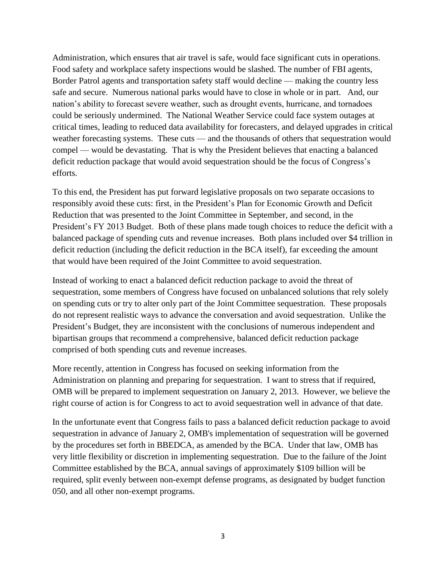Administration, which ensures that air travel is safe, would face significant cuts in operations. Food safety and workplace safety inspections would be slashed. The number of FBI agents, Border Patrol agents and transportation safety staff would decline — making the country less safe and secure. Numerous national parks would have to close in whole or in part. And, our nation's ability to forecast severe weather, such as drought events, hurricane, and tornadoes could be seriously undermined. The National Weather Service could face system outages at critical times, leading to reduced data availability for forecasters, and delayed upgrades in critical weather forecasting systems. These cuts — and the thousands of others that sequestration would compel — would be devastating. That is why the President believes that enacting a balanced deficit reduction package that would avoid sequestration should be the focus of Congress's efforts.

To this end, the President has put forward legislative proposals on two separate occasions to responsibly avoid these cuts: first, in the President's Plan for Economic Growth and Deficit Reduction that was presented to the Joint Committee in September, and second, in the President's FY 2013 Budget. Both of these plans made tough choices to reduce the deficit with a balanced package of spending cuts and revenue increases. Both plans included over \$4 trillion in deficit reduction (including the deficit reduction in the BCA itself), far exceeding the amount that would have been required of the Joint Committee to avoid sequestration.

Instead of working to enact a balanced deficit reduction package to avoid the threat of sequestration, some members of Congress have focused on unbalanced solutions that rely solely on spending cuts or try to alter only part of the Joint Committee sequestration. These proposals do not represent realistic ways to advance the conversation and avoid sequestration. Unlike the President's Budget, they are inconsistent with the conclusions of numerous independent and bipartisan groups that recommend a comprehensive, balanced deficit reduction package comprised of both spending cuts and revenue increases.

More recently, attention in Congress has focused on seeking information from the Administration on planning and preparing for sequestration. I want to stress that if required, OMB will be prepared to implement sequestration on January 2, 2013. However, we believe the right course of action is for Congress to act to avoid sequestration well in advance of that date.

In the unfortunate event that Congress fails to pass a balanced deficit reduction package to avoid sequestration in advance of January 2, OMB's implementation of sequestration will be governed by the procedures set forth in BBEDCA, as amended by the BCA. Under that law, OMB has very little flexibility or discretion in implementing sequestration. Due to the failure of the Joint Committee established by the BCA, annual savings of approximately \$109 billion will be required, split evenly between non-exempt defense programs, as designated by budget function 050, and all other non-exempt programs.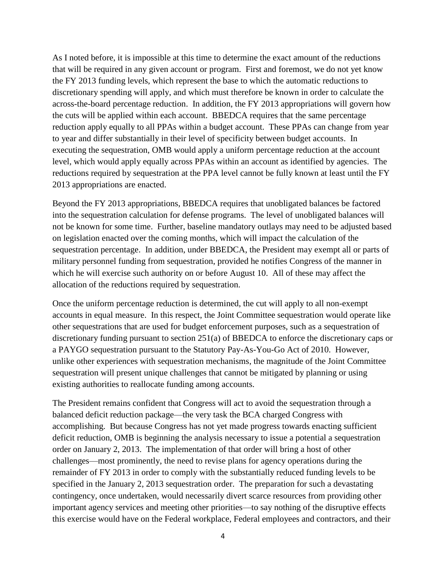As I noted before, it is impossible at this time to determine the exact amount of the reductions that will be required in any given account or program. First and foremost, we do not yet know the FY 2013 funding levels, which represent the base to which the automatic reductions to discretionary spending will apply, and which must therefore be known in order to calculate the across-the-board percentage reduction. In addition, the FY 2013 appropriations will govern how the cuts will be applied within each account. BBEDCA requires that the same percentage reduction apply equally to all PPAs within a budget account. These PPAs can change from year to year and differ substantially in their level of specificity between budget accounts. In executing the sequestration, OMB would apply a uniform percentage reduction at the account level, which would apply equally across PPAs within an account as identified by agencies. The reductions required by sequestration at the PPA level cannot be fully known at least until the FY 2013 appropriations are enacted.

Beyond the FY 2013 appropriations, BBEDCA requires that unobligated balances be factored into the sequestration calculation for defense programs. The level of unobligated balances will not be known for some time. Further, baseline mandatory outlays may need to be adjusted based on legislation enacted over the coming months, which will impact the calculation of the sequestration percentage. In addition, under BBEDCA, the President may exempt all or parts of military personnel funding from sequestration, provided he notifies Congress of the manner in which he will exercise such authority on or before August 10. All of these may affect the allocation of the reductions required by sequestration.

Once the uniform percentage reduction is determined, the cut will apply to all non-exempt accounts in equal measure. In this respect, the Joint Committee sequestration would operate like other sequestrations that are used for budget enforcement purposes, such as a sequestration of discretionary funding pursuant to section 251(a) of BBEDCA to enforce the discretionary caps or a PAYGO sequestration pursuant to the Statutory Pay-As-You-Go Act of 2010. However, unlike other experiences with sequestration mechanisms, the magnitude of the Joint Committee sequestration will present unique challenges that cannot be mitigated by planning or using existing authorities to reallocate funding among accounts.

The President remains confident that Congress will act to avoid the sequestration through a balanced deficit reduction package—the very task the BCA charged Congress with accomplishing. But because Congress has not yet made progress towards enacting sufficient deficit reduction, OMB is beginning the analysis necessary to issue a potential a sequestration order on January 2, 2013. The implementation of that order will bring a host of other challenges—most prominently, the need to revise plans for agency operations during the remainder of FY 2013 in order to comply with the substantially reduced funding levels to be specified in the January 2, 2013 sequestration order. The preparation for such a devastating contingency, once undertaken, would necessarily divert scarce resources from providing other important agency services and meeting other priorities—to say nothing of the disruptive effects this exercise would have on the Federal workplace, Federal employees and contractors, and their